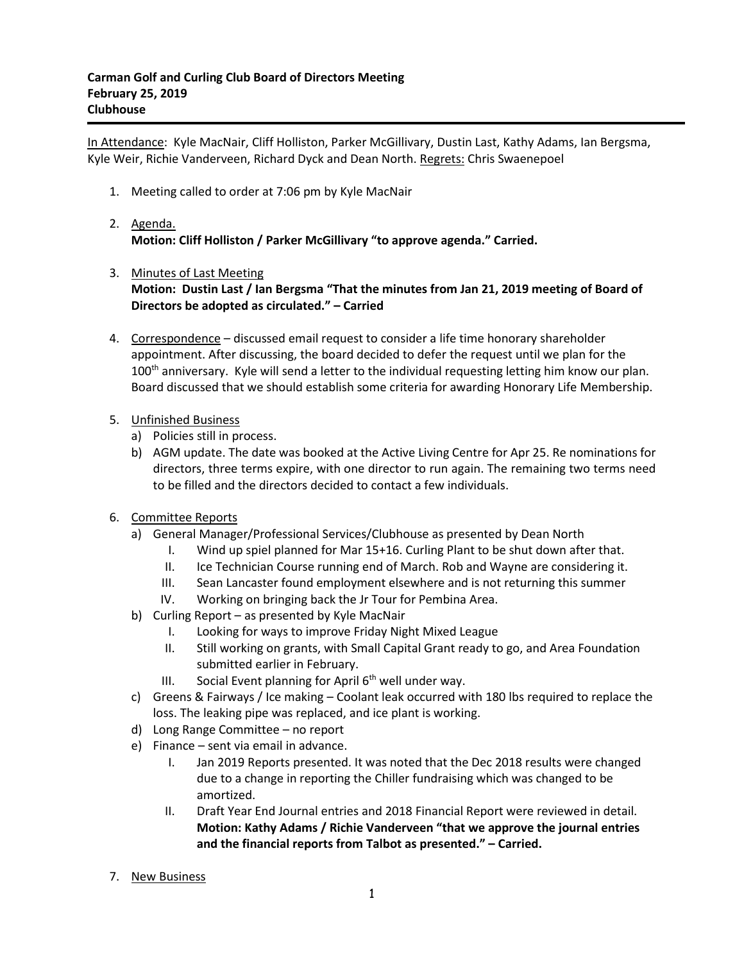In Attendance: Kyle MacNair, Cliff Holliston, Parker McGillivary, Dustin Last, Kathy Adams, Ian Bergsma, Kyle Weir, Richie Vanderveen, Richard Dyck and Dean North. Regrets: Chris Swaenepoel

1. Meeting called to order at 7:06 pm by Kyle MacNair

## 2. Agenda. **Motion: Cliff Holliston / Parker McGillivary "to approve agenda." Carried.**

- 3. Minutes of Last Meeting **Motion: Dustin Last / Ian Bergsma "That the minutes from Jan 21, 2019 meeting of Board of Directors be adopted as circulated." – Carried**
- 4. Correspondence discussed email request to consider a life time honorary shareholder appointment. After discussing, the board decided to defer the request until we plan for the  $100<sup>th</sup>$  anniversary. Kyle will send a letter to the individual requesting letting him know our plan. Board discussed that we should establish some criteria for awarding Honorary Life Membership.
- 5. Unfinished Business
	- a) Policies still in process.
	- b) AGM update. The date was booked at the Active Living Centre for Apr 25. Re nominations for directors, three terms expire, with one director to run again. The remaining two terms need to be filled and the directors decided to contact a few individuals.
- 6. Committee Reports
	- a) General Manager/Professional Services/Clubhouse as presented by Dean North
		- I. Wind up spiel planned for Mar 15+16. Curling Plant to be shut down after that.
		- II. Ice Technician Course running end of March. Rob and Wayne are considering it.
		- III. Sean Lancaster found employment elsewhere and is not returning this summer
		- IV. Working on bringing back the Jr Tour for Pembina Area.
	- b) Curling Report as presented by Kyle MacNair
		- I. Looking for ways to improve Friday Night Mixed League
		- II. Still working on grants, with Small Capital Grant ready to go, and Area Foundation submitted earlier in February.
		- III. Social Event planning for April  $6<sup>th</sup>$  well under way.
	- c) Greens & Fairways / Ice making Coolant leak occurred with 180 lbs required to replace the loss. The leaking pipe was replaced, and ice plant is working.
	- d) Long Range Committee no report
	- e) Finance sent via email in advance.
		- I. Jan 2019 Reports presented. It was noted that the Dec 2018 results were changed due to a change in reporting the Chiller fundraising which was changed to be amortized.
		- II. Draft Year End Journal entries and 2018 Financial Report were reviewed in detail. **Motion: Kathy Adams / Richie Vanderveen "that we approve the journal entries and the financial reports from Talbot as presented." – Carried.**
- 7. New Business